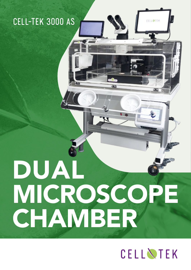### CELL-TEK 3000 AS

# DUAL MICROSCOPE CHAMBER

## CELLNTEK

**CELL STEK**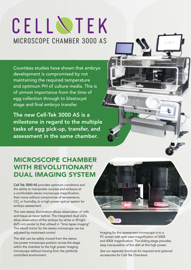## CELLNTEK MICROSCOPE CHAMBER 3000 AS

Countless studies have shown that embryo development is compromised by not maintaining the required temperature and optimum PH of culture media. This is of utmost importance from the time of egg collection through to blastocyst stage and final embryo transfer.

The new Cell-Tek 3000 AS is a milestone in regard to the multiple tasks of egg pick-up, transfer, and assessment in the same chamber.

#### MICROSCOPE CHAMBER WITH REVOLUTIONARY DUAL IMAGING SYSTEM

Cell-Tek 3000 AS provides optimum conditions and the ability to manipulate oocytes and embryos at a comfortable stereo microscope magnification, then move without compromise of temperature,  $\mathsf{CO}_2^{}$  or humidity, to a high power optical system for embryo assessment.

The new stereo illumination allows observation of cells and tissue as never before. The integrated dual LEDs allow observation of the embryo by white or IR-light (625 nm) similar to that utilised in "time lapse imaging". The inbuilt mirror for the stereo microscope can be adjusted by motorised control.

The dish can be safely moved from the stereo low power microscope position across the stage within the chamber to the high power imaging microscope without moving from the perfectly controlled environment.



Imaging for the assessment microscope is to a PC screen with split view magnification of 200X and 400X magnification. The sliding stage provides easy manipulation of the dish at this high power.

*See our separate brochure for required and optional accessories for Cell-Tek Chambers*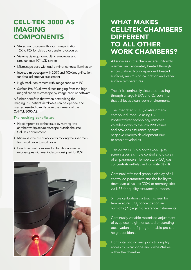#### CELL-TEK 3000 AS IMAGING COMPONENTS

- Stereo microscope with zoom magnification 12X to 96X for pick-up or transfer procedures
- Viewing via ergonomic tilting eyepieces and simultaneous 10" LCD screen
- Microscope base with dual e-mirror contrast illumination
- Inverted microscope with 200X and 400X magnification for detailed embryo assessment
- High resolution camera with image capture to PC
- Surface Pro PC allows direct imaging from the high magnification microscope by image capture software

A further benefit is that when networking the imaging PC, patient databases can be opened and images inserted directly from the camera of the Cell-Tek 3000 AS.

#### The resulting benefits are:

- No compromise to the tissue by moving it to another workplace/microscope outside the safe Cell-Tek environment
- Minimises the risk of accidents moving the specimen from workplace to workplace
- Less time used compared to traditional inverted microscopes with manipulators designed for ICSI



#### WHAT MAKES CELL-TEK CHAMBERS DIFFERENT TO ALL OTHER WORK CHAMBERS?

All surfaces in the chamber are uniformly warmed and accurately heated through air circulation. No independent heated surfaces, minimising calibration and varied surface temperatures.

The air is continually circulated passing through a large HEPA and Carbon filter that achieves clean room environment.

The integrated VOC (volatile organic compound) module using UV Photocatalytic technology removes volatiles down to the low PPB values and provides assurance against negative embryo development due to ambient volatiles.

- The convenient fold down touch pad screen gives a simple control and display of all parameters. Temperature-CO $_{\tiny 2}$  gas concentration-Relative Humidity (%RH).
- Continual refreshed graphic display of all controlled parameters and the facility to download all values (CSV) to memory stick via USB for quality assurance purposes.
- Simple calibration via touch screen for temperature,  $\mathsf{CO}_2^{}$  concentration and humidity (RH) against reference instruments.

Continually variable motorised adjustment of eyepiece height for seated or standing observation and 4 programmable pre-set height positions.

Horizontal sliding arm ports to simplify access to microscope and dishes/tubes within the chamber.